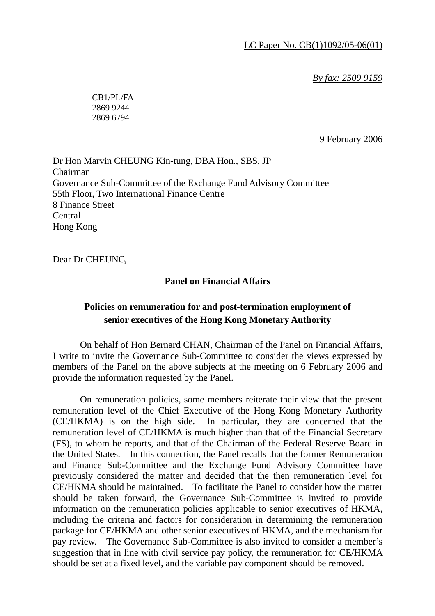*By fax: 2509 9159*

CB1/PL/FA 2869 9244 2869 6794

9 February 2006

Dr Hon Marvin CHEUNG Kin-tung, DBA Hon., SBS, JP Chairman Governance Sub-Committee of the Exchange Fund Advisory Committee 55th Floor, Two International Finance Centre 8 Finance Street Central Hong Kong

Dear Dr CHEUNG,

## **Panel on Financial Affairs**

## **Policies on remuneration for and post-termination employment of senior executives of the Hong Kong Monetary Authority**

 On behalf of Hon Bernard CHAN, Chairman of the Panel on Financial Affairs, I write to invite the Governance Sub-Committee to consider the views expressed by members of the Panel on the above subjects at the meeting on 6 February 2006 and provide the information requested by the Panel.

 On remuneration policies, some members reiterate their view that the present remuneration level of the Chief Executive of the Hong Kong Monetary Authority (CE/HKMA) is on the high side. In particular, they are concerned that the remuneration level of CE/HKMA is much higher than that of the Financial Secretary (FS), to whom he reports, and that of the Chairman of the Federal Reserve Board in the United States. In this connection, the Panel recalls that the former Remuneration and Finance Sub-Committee and the Exchange Fund Advisory Committee have previously considered the matter and decided that the then remuneration level for CE/HKMA should be maintained. To facilitate the Panel to consider how the matter should be taken forward, the Governance Sub-Committee is invited to provide information on the remuneration policies applicable to senior executives of HKMA, including the criteria and factors for consideration in determining the remuneration package for CE/HKMA and other senior executives of HKMA, and the mechanism for pay review. The Governance Sub-Committee is also invited to consider a member's suggestion that in line with civil service pay policy, the remuneration for CE/HKMA should be set at a fixed level, and the variable pay component should be removed.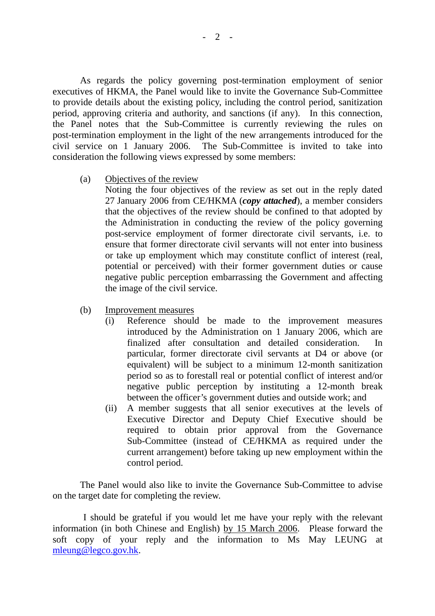As regards the policy governing post-termination employment of senior executives of HKMA, the Panel would like to invite the Governance Sub-Committee to provide details about the existing policy, including the control period, sanitization period, approving criteria and authority, and sanctions (if any). In this connection, the Panel notes that the Sub-Committee is currently reviewing the rules on post-termination employment in the light of the new arrangements introduced for the civil service on 1 January 2006. The Sub-Committee is invited to take into consideration the following views expressed by some members:

(a) Objectives of the review

 Noting the four objectives of the review as set out in the reply dated 27 January 2006 from CE/HKMA (*copy attached*), a member considers that the objectives of the review should be confined to that adopted by the Administration in conducting the review of the policy governing post-service employment of former directorate civil servants, i.e. to ensure that former directorate civil servants will not enter into business or take up employment which may constitute conflict of interest (real, potential or perceived) with their former government duties or cause negative public perception embarrassing the Government and affecting the image of the civil service.

- (b) Improvement measures
	- (i) Reference should be made to the improvement measures introduced by the Administration on 1 January 2006, which are finalized after consultation and detailed consideration. particular, former directorate civil servants at D4 or above (or equivalent) will be subject to a minimum 12-month sanitization period so as to forestall real or potential conflict of interest and/or negative public perception by instituting a 12-month break between the officer's government duties and outside work; and
	- (ii) A member suggests that all senior executives at the levels of Executive Director and Deputy Chief Executive should be required to obtain prior approval from the Governance Sub-Committee (instead of CE/HKMA as required under the current arrangement) before taking up new employment within the control period.

 The Panel would also like to invite the Governance Sub-Committee to advise on the target date for completing the review.

 I should be grateful if you would let me have your reply with the relevant information (in both Chinese and English) by 15 March 2006. Please forward the soft copy of your reply and the information to Ms May LEUNG at mleung@legco.gov.hk.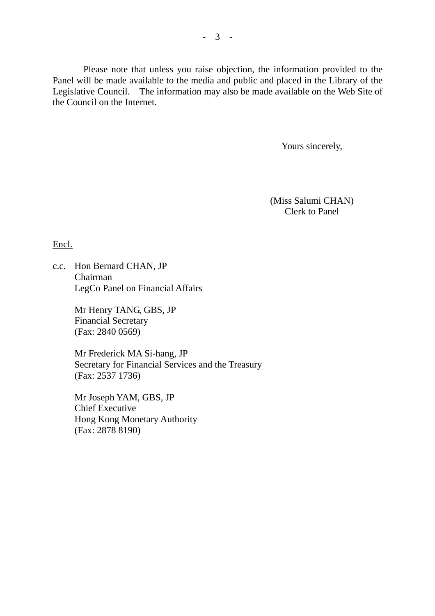Please note that unless you raise objection, the information provided to the Panel will be made available to the media and public and placed in the Library of the Legislative Council. The information may also be made available on the Web Site of the Council on the Internet.

Yours sincerely,

(Miss Salumi CHAN) Clerk to Panel

Encl.

c.c. Hon Bernard CHAN, JP Chairman LegCo Panel on Financial Affairs

> Mr Henry TANG, GBS, JP Financial Secretary (Fax: 2840 0569)

 Mr Frederick MA Si-hang, JP Secretary for Financial Services and the Treasury (Fax: 2537 1736)

 Mr Joseph YAM, GBS, JP Chief Executive Hong Kong Monetary Authority (Fax: 2878 8190)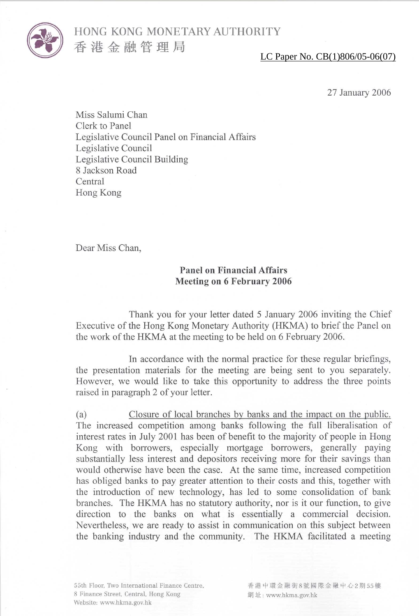

## LC Paper No. CB(1)806/05-06(07)

27 January 2006

Miss Salumi Chan Clerk to Panel Legislative Council Panel on Financial Affairs Legislative Council Legislative Council Building 8 Jackson Road Central Hong Kong

Dear Miss Chan,

## **Panel on Financial Affairs Meeting on 6 February 2006**

Thank you for your letter dated 5 January 2006 inviting the Chief Executive of the Hong Kong Monetary Authority (HKMA) to brief the Panel on the work of the HKMA at the meeting to be held on 6 February 2006.

In accordance with the normal practice for these regular briefings, the presentation materials for the meeting are being sent to you separately. However, we would like to take this opportunity to address the three points raised in paragraph 2 of your letter.

Closure of local branches by banks and the impact on the public.  $(a)$ The increased competition among banks following the full liberalisation of interest rates in July 2001 has been of benefit to the majority of people in Hong Kong with borrowers, especially mortgage borrowers, generally paying substantially less interest and depositors receiving more for their savings than would otherwise have been the case. At the same time, increased competition has obliged banks to pay greater attention to their costs and this, together with the introduction of new technology, has led to some consolidation of bank branches. The HKMA has no statutory authority, nor is it our function, to give direction to the banks on what is essentially a commercial decision. Nevertheless, we are ready to assist in communication on this subject between the banking industry and the community. The HKMA facilitated a meeting

55th Floor, Two International Finance Centre, 8 Finance Street, Central, Hong Kong Website: www.hkma.gov.hk

香港中環金融街8號國際金融中心2期55樓 網址: www.hkma.gov.hk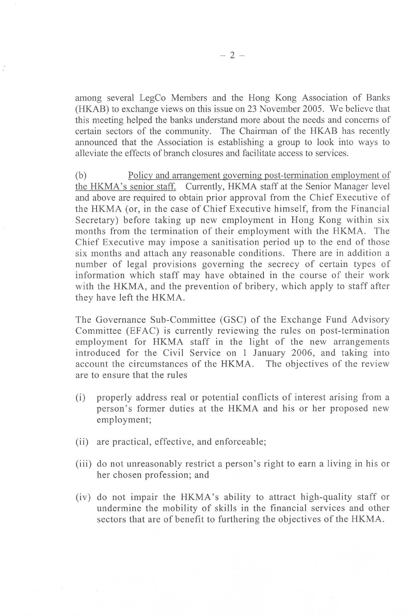among several LegCo Members and the Hong Kong Association of Banks (HKAB) to exchange views on this issue on 23 November 2005. We believe that this meeting helped the banks understand more about the needs and concerns of certain sectors of the community. The Chairman of the HKAB has recently announced that the Association is establishing a group to look into ways to alleviate the effects of branch closures and facilitate access to services.

 $(b)$ Policy and arrangement governing post-termination employment of the HKMA's senior staff. Currently, HKMA staff at the Senior Manager level and above are required to obtain prior approval from the Chief Executive of the HKMA (or, in the case of Chief Executive himself, from the Financial Secretary) before taking up new employment in Hong Kong within six months from the termination of their employment with the HKMA. The Chief Executive may impose a sanitisation period up to the end of those six months and attach any reasonable conditions. There are in addition a number of legal provisions governing the secrecy of certain types of information which staff may have obtained in the course of their work with the HKMA, and the prevention of bribery, which apply to staff after they have left the HKMA.

The Governance Sub-Committee (GSC) of the Exchange Fund Advisory Committee (EFAC) is currently reviewing the rules on post-termination employment for HKMA staff in the light of the new arrangements introduced for the Civil Service on 1 January 2006, and taking into account the circumstances of the HKMA. The objectives of the review are to ensure that the rules

- properly address real or potential conflicts of interest arising from a  $(i)$ person's former duties at the HKMA and his or her proposed new employment;
- (ii) are practical, effective, and enforceable;
- (iii) do not unreasonably restrict a person's right to earn a living in his or her chosen profession; and
- (iv) do not impair the HKMA's ability to attract high-quality staff or undermine the mobility of skills in the financial services and other sectors that are of benefit to furthering the objectives of the HKMA.